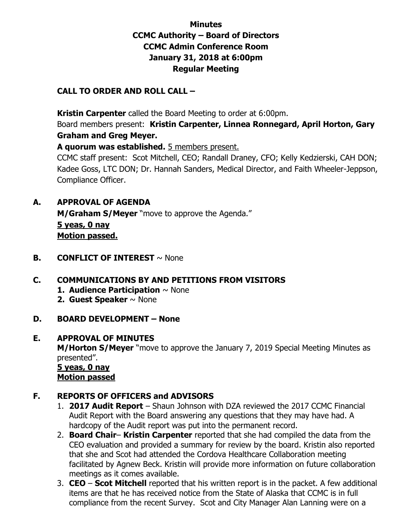# **Minutes CCMC Authority – Board of Directors CCMC Admin Conference Room January 31, 2018 at 6:00pm Regular Meeting**

#### **CALL TO ORDER AND ROLL CALL –**

 **Kristin Carpenter** called the Board Meeting to order at 6:00pm.

Board members present: **Kristin Carpenter, Linnea Ronnegard, April Horton, Gary Graham and Greg Meyer.** 

**A quorum was established.** 5 members present.

CCMC staff present: Scot Mitchell, CEO; Randall Draney, CFO; Kelly Kedzierski, CAH DON; Kadee Goss, LTC DON; Dr. Hannah Sanders, Medical Director, and Faith Wheeler-Jeppson, Compliance Officer.

### **A. APPROVAL OF AGENDA**

**M/Graham S/Meyer** "move to approve the Agenda." **5 yeas, 0 nay Motion passed.** 

**B. CONFLICT OF INTEREST**  $\sim$  None

### **C. COMMUNICATIONS BY AND PETITIONS FROM VISITORS**

- **1. Audience Participation** ~ None
- **2. Guest Speaker** ~ None
- **D. BOARD DEVELOPMENT – None**

#### **E. APPROVAL OF MINUTES**

**M/Horton S/Meyer** "move to approve the January 7, 2019 Special Meeting Minutes as presented".

 **5 yeas, 0 nay Motion passed**

### **F. REPORTS OF OFFICERS and ADVISORS**

- 1. **2017 Audit Report** Shaun Johnson with DZA reviewed the 2017 CCMC Financial Audit Report with the Board answering any questions that they may have had. A hardcopy of the Audit report was put into the permanent record.
- 2. **Board Chair Kristin Carpenter** reported that she had compiled the data from the CEO evaluation and provided a summary for review by the board. Kristin also reported that she and Scot had attended the Cordova Healthcare Collaboration meeting facilitated by Agnew Beck. Kristin will provide more information on future collaboration meetings as it comes available.
- 3. **CEO Scot Mitchell** reported that his written report is in the packet. A few additional items are that he has received notice from the State of Alaska that CCMC is in full compliance from the recent Survey. Scot and City Manager Alan Lanning were on a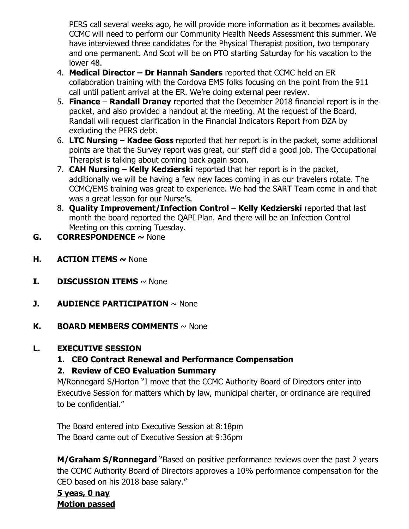PERS call several weeks ago, he will provide more information as it becomes available. CCMC will need to perform our Community Health Needs Assessment this summer. We have interviewed three candidates for the Physical Therapist position, two temporary and one permanent. And Scot will be on PTO starting Saturday for his vacation to the lower 48.

- 4. **Medical Director – Dr Hannah Sanders** reported that CCMC held an ER collaboration training with the Cordova EMS folks focusing on the point from the 911 call until patient arrival at the ER. We're doing external peer review.
- 5. **Finance Randall Draney** reported that the December 2018 financial report is in the packet, and also provided a handout at the meeting. At the request of the Board, Randall will request clarification in the Financial Indicators Report from DZA by excluding the PERS debt.
- 6. **LTC Nursing Kadee Goss** reported that her report is in the packet, some additional points are that the Survey report was great, our staff did a good job. The Occupational Therapist is talking about coming back again soon.
- 7. **CAH Nursing Kelly Kedzierski** reported that her report is in the packet, additionally we will be having a few new faces coming in as our travelers rotate. The CCMC/EMS training was great to experience. We had the SART Team come in and that was a great lesson for our Nurse's.
- 8. **Quality Improvement/Infection Control Kelly Kedzierski** reported that last month the board reported the QAPI Plan. And there will be an Infection Control Meeting on this coming Tuesday.
- **G. CORRESPONDENCE ~** None
- **H. ACTION ITEMS ~** None
- **I. DISCUSSION ITEMS**  $\sim$  None
- **J. AUDIENCE PARTICIPATION**  $\sim$  None
- **K. BOARD MEMBERS COMMENTS** ~ None

# **L. EXECUTIVE SESSION**

**1. CEO Contract Renewal and Performance Compensation** 

# **2. Review of CEO Evaluation Summary**

M/Ronnegard S/Horton "I move that the CCMC Authority Board of Directors enter into Executive Session for matters which by law, municipal charter, or ordinance are required to be confidential."

 The Board entered into Executive Session at 8:18pm The Board came out of Executive Session at 9:36pm

**M/Graham S/Ronnegard** "Based on positive performance reviews over the past 2 years the CCMC Authority Board of Directors approves a 10% performance compensation for the CEO based on his 2018 base salary."

# **5 yeas, 0 nay Motion passed**